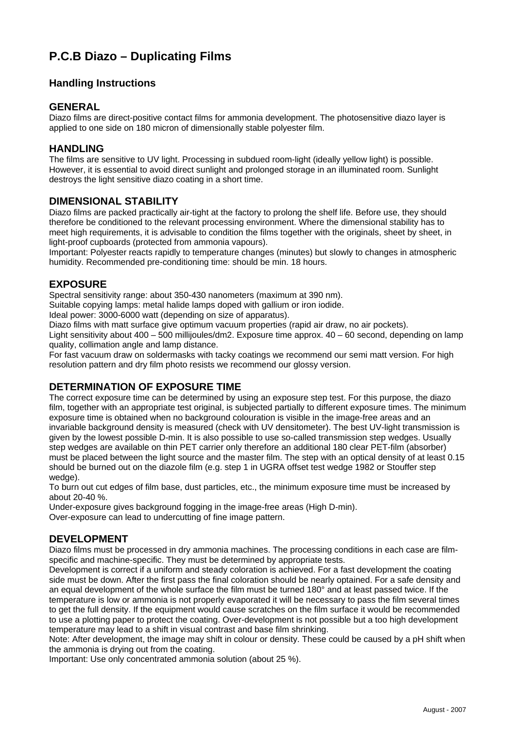# **P.C.B Diazo – Duplicating Films**

# **Handling Instructions**

#### **GENERAL**

Diazo films are direct-positive contact films for ammonia development. The photosensitive diazo layer is applied to one side on 180 micron of dimensionally stable polyester film.

#### **HANDLING**

The films are sensitive to UV light. Processing in subdued room-light (ideally yellow light) is possible. However, it is essential to avoid direct sunlight and prolonged storage in an illuminated room. Sunlight destroys the light sensitive diazo coating in a short time.

#### **DIMENSIONAL STABILITY**

Diazo films are packed practically air-tight at the factory to prolong the shelf life. Before use, they should therefore be conditioned to the relevant processing environment. Where the dimensional stability has to meet high requirements, it is advisable to condition the films together with the originals, sheet by sheet, in light-proof cupboards (protected from ammonia vapours).

Important: Polyester reacts rapidly to temperature changes (minutes) but slowly to changes in atmospheric humidity. Recommended pre-conditioning time: should be min. 18 hours.

## **EXPOSURE**

Spectral sensitivity range: about 350-430 nanometers (maximum at 390 nm).

Suitable copying lamps: metal halide lamps doped with gallium or iron iodide.

Ideal power: 3000-6000 watt (depending on size of apparatus).

Diazo films with matt surface give optimum vacuum properties (rapid air draw, no air pockets).

Light sensitivity about 400 – 500 millijoules/dm2. Exposure time approx. 40 – 60 second, depending on lamp quality, collimation angle and lamp distance.

For fast vacuum draw on soldermasks with tacky coatings we recommend our semi matt version. For high resolution pattern and dry film photo resists we recommend our glossy version.

# **DETERMINATION OF EXPOSURE TIME**

The correct exposure time can be determined by using an exposure step test. For this purpose, the diazo film, together with an appropriate test original, is subjected partially to different exposure times. The minimum exposure time is obtained when no background colouration is visible in the image-free areas and an invariable background density is measured (check with UV densitometer). The best UV-light transmission is given by the lowest possible D-min. It is also possible to use so-called transmission step wedges. Usually step wedges are available on thin PET carrier only therefore an additional 180 clear PET-film (absorber) must be placed between the light source and the master film. The step with an optical density of at least 0.15 should be burned out on the diazole film (e.g. step 1 in UGRA offset test wedge 1982 or Stouffer step wedge).

To burn out cut edges of film base, dust particles, etc., the minimum exposure time must be increased by about 20-40 %.

Under-exposure gives background fogging in the image-free areas (High D-min).

Over-exposure can lead to undercutting of fine image pattern.

# **DEVELOPMENT**

Diazo films must be processed in dry ammonia machines. The processing conditions in each case are filmspecific and machine-specific. They must be determined by appropriate tests.

Development is correct if a uniform and steady coloration is achieved. For a fast development the coating side must be down. After the first pass the final coloration should be nearly optained. For a safe density and an equal development of the whole surface the film must be turned 180° and at least passed twice. If the temperature is low or ammonia is not properly evaporated it will be necessary to pass the film several times to get the full density. If the equipment would cause scratches on the film surface it would be recommended to use a plotting paper to protect the coating. Over-development is not possible but a too high development temperature may lead to a shift in visual contrast and base film shrinking.

Note: After development, the image may shift in colour or density. These could be caused by a pH shift when the ammonia is drying out from the coating.

Important: Use only concentrated ammonia solution (about 25 %).